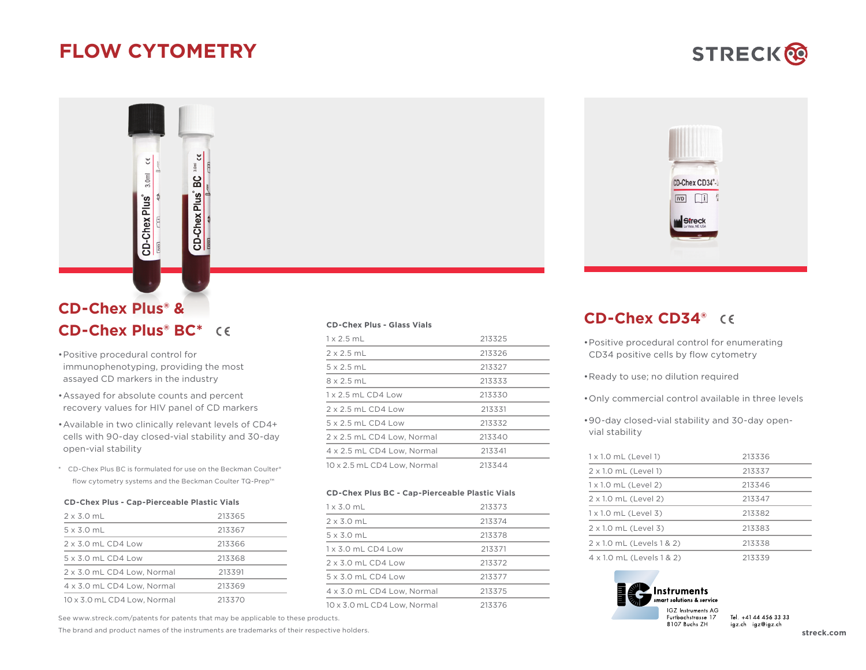## **FLOW CYTOMETRY**

 $\tilde{\epsilon}$ 

<u>ର</u>

**CD-Chex Plus** 

## **CD-Chex Plus® & CD-Chex Plus® BC\***

 $3.0<sub>m</sub>$ 

CD-Chex Plus®

- •Positive procedural control for immunophenotyping, providing the most assayed CD markers in the industry
- •Assayed for absolute counts and percent recovery values for HIV panel of CD markers
- •Available in two clinically relevant levels of CD4+ cells with 90-day closed-vial stability and 30-day open-vial stability
- \* CD-Chex Plus BC is formulated for use on the Beckman Coulter® flow cytometry systems and the Beckman Coulter TQ-Prep™

#### **CD-Chex Plus - Cap-Pierceable Plastic Vials**

| $2 \times 3.0$ mL           | 213365 |
|-----------------------------|--------|
| $5 \times 3.0$ mL           | 213367 |
| $2 \times 3.0$ mL CD4 Low   | 213366 |
| $5 \times 3.0$ mL CD4 Low   | 213368 |
| 2 x 3.0 mL CD4 Low, Normal  | 213391 |
| 4 x 3.0 mL CD4 Low. Normal  | 213369 |
| 10 x 3.0 mL CD4 Low. Normal | 213370 |

See www.streck.com/patents for patents that may be applicable to these products.

The brand and product names of the instruments are trademarks of their respective holders.

#### **CD-Chex Plus - Glass Vials**

| $1 \times 2$ 5 ml           | 213325 |
|-----------------------------|--------|
| $2 \times 2$ 5 ml           | 213326 |
| $5 \times 25$ ml            | 213327 |
| $8 \times 2.5$ mL           | 213333 |
| $1 \times 2$ 5 mL CD4 Low   | 213330 |
| $2 \times 2.5$ mL CD4 Low   | 213331 |
| $5 \times 2.5$ mL CD4 Low   | 213332 |
| 2 x 2.5 mL CD4 Low. Normal  | 213340 |
| 4 x 2.5 mL CD4 Low. Normal  | 213341 |
| 10 x 2.5 mL CD4 Low. Normal | 213344 |

#### **CD-Chex Plus BC - Cap-Pierceable Plastic Vials**

| $1 \times 3.0$ mL           | 213373 |
|-----------------------------|--------|
| $2 \times 3.0$ mL           | 213374 |
| $5 \times 3.0$ mL           | 213378 |
| $1 \times 3.0$ mL CD4 Low   | 213371 |
| $2 \times 30$ mL CD4 Low    | 213372 |
| $5 \times 30$ mL CD4 Low    | 213377 |
| 4 x 3.0 mL CD4 Low. Normal  | 213375 |
| 10 x 3.0 mL CD4 Low, Normal | 213376 |



### **CD-Chex CD34®**

- •Positive procedural control for enumerating CD34 positive cells by flow cytometry
- •Ready to use; no dilution required
- •Only commercial control available in three levels
- •90-day closed-vial stability and 30-day openvial stability

| $1 \times 1.0$ mL (Level 1) | 213336 |
|-----------------------------|--------|
| 2 x 1.0 mL (Level 1)        | 213337 |
| $1 \times 1.0$ mL (Level 2) | 213346 |
| 2 x 1.0 mL (Level 2)        | 213347 |
| $1 \times 1.0$ mL (Level 3) | 213382 |
| $2 \times 1.0$ mL (Level 3) | 213383 |
| 2 x 1.0 mL (Levels 1 & 2)   | 213338 |
| 4 x 1.0 mL (Levels 1 & 2)   | 213339 |



Tel. +41 44 456 33 33 igz.ch igz@igz.ch

# **STRECK®**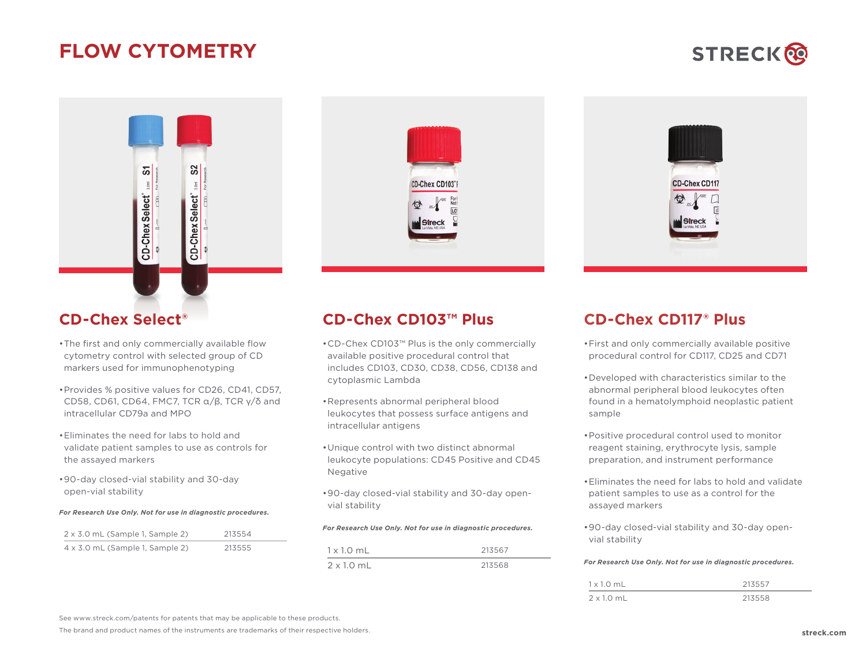## **FLOW CYTOMETRY**





### **CD-Chex Select®**

- •The first and only commercially available flow cytometry control with selected group of CD markers used for immunophenotyping
- •Provides % positive values for CD26, CD41, CD57, CD58, CD61, CD64, FMC7, TCR  $\alpha$ / $\beta$ , TCR  $\gamma$ / $\delta$  and intracellular CD79a and MPO
- •Eliminates the need for labs to hold and validate patient samples to use as controls for the assayed markers
- •90-day closed-vial stability and 30-day open-vial stability

#### *For Research Use Only. Not for use in diagnostic procedures.*

| $2 \times 3.0$ mL (Sample 1, Sample 2) | 213554 |
|----------------------------------------|--------|
| $4 \times 3.0$ mL (Sample 1, Sample 2) | 213555 |





### **CD-Chex CD103™ Plus**

- •CD-Chex CD103™ Plus is the only commercially available positive procedural control that includes CD103, CD30, CD38, CD56, CD138 and cytoplasmic Lambda
- •Represents abnormal peripheral blood leukocytes that possess surface antigens and intracellular antigens
- •Unique control with two distinct abnormal leukocyte populations: CD45 Positive and CD45 Negative
- •90-day closed-vial stability and 30-day openvial stability

#### *For Research Use Only. Not for use in diagnostic procedures.*

| $1 \times 1.0$ mL | 213567 |
|-------------------|--------|
| $2 \times 1.0$ mL | 213568 |

### **CD-Chex CD117® Plus**

- •First and only commercially available positive procedural control for CD117, CD25 and CD71
- •Developed with characteristics similar to the abnormal peripheral blood leukocytes often found in a hematolymphoid neoplastic patient sample
- •Positive procedural control used to monitor reagent staining, erythrocyte lysis, sample preparation, and instrument performance
- •Eliminates the need for labs to hold and validate patient samples to use as a control for the assayed markers
- •90-day closed-vial stability and 30-day openvial stability

#### *For Research Use Only. Not for use in diagnostic procedures.*

| $1 \times 1.0$ mL | 213557 |
|-------------------|--------|
| $2 \times 1.0$ mL | 213558 |

See www.streck.com/patents for patents that may be applicable to these products.

The brand and product names of the instruments are trademarks of their respective holders.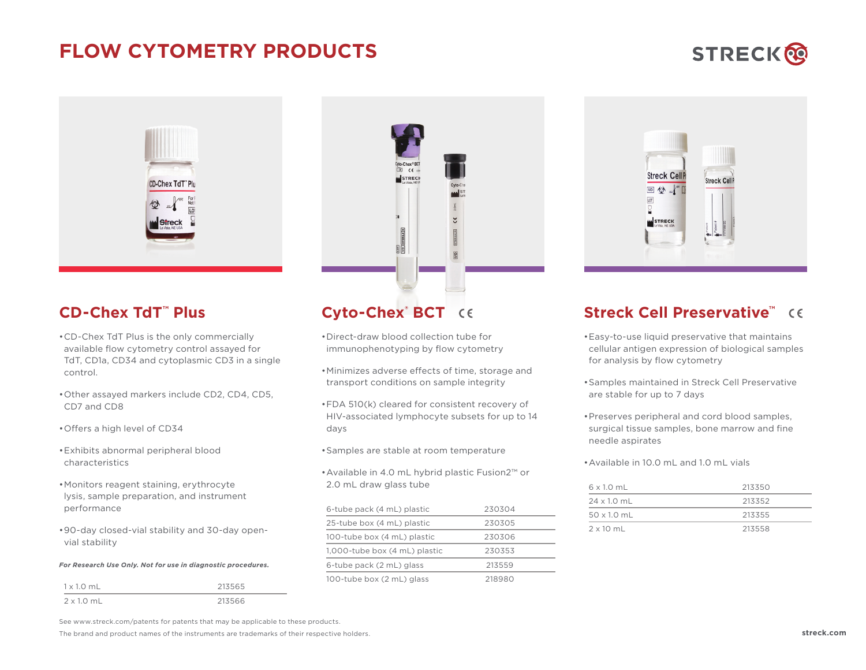## **FLOW CYTOMETRY PRODUCTS**









### **CD-Chex TdT™ Plus**

- •CD-Chex TdT Plus is the only commercially available flow cytometry control assayed for TdT, CD1a, CD34 and cytoplasmic CD3 in a single control.
- •Other assayed markers include CD2, CD4, CD5, CD7 and CD8
- •Offers a high level of CD34
- •Exhibits abnormal peripheral blood characteristics
- •Monitors reagent staining, erythrocyte lysis, sample preparation, and instrument performance
- •90-day closed-vial stability and 30-day openvial stability

#### *For Research Use Only. Not for use in diagnostic procedures.*

| $1 \times 1.0$ mL | 213565 |
|-------------------|--------|
| $2 \times 1.0$ mL | 213566 |

## **Cyto-Chex® BCT**

- •Direct-draw blood collection tube for immunophenotyping by flow cytometry
- •Minimizes adverse effects of time, storage and transport conditions on sample integrity
- •FDA 510(k) cleared for consistent recovery of HIV-associated lymphocyte subsets for up to 14 days
- •Samples are stable at room temperature
- •Available in 4.0 mL hybrid plastic Fusion2™ or 2.0 mL draw glass tube

| 6-tube pack (4 mL) plastic    | 230304 |  |  |
|-------------------------------|--------|--|--|
| 25-tube box (4 mL) plastic    | 230305 |  |  |
| 100-tube box (4 mL) plastic   | 230306 |  |  |
| 1,000-tube box (4 mL) plastic | 230353 |  |  |
| 6-tube pack (2 mL) glass      | 213559 |  |  |
| 100-tube box (2 mL) glass     | 218980 |  |  |

### **Streck Cell Preservative™**

- •Easy-to-use liquid preservative that maintains cellular antigen expression of biological samples for analysis by flow cytometry
- •Samples maintained in Streck Cell Preservative are stable for up to 7 days
- •Preserves peripheral and cord blood samples, surgical tissue samples, bone marrow and fine needle aspirates
- •Available in 10.0 mL and 1.0 mL vials

| $6 \times 1.0$ mL  | 213350 |
|--------------------|--------|
| $24 \times 1.0$ mL | 213352 |
| $50 \times 1.0$ mL | 213355 |
| $2 \times 10$ mL   | 213558 |

See www.streck.com/patents for patents that may be applicable to these products.

The brand and product names of the instruments are trademarks of their respective holders. **streck.com**